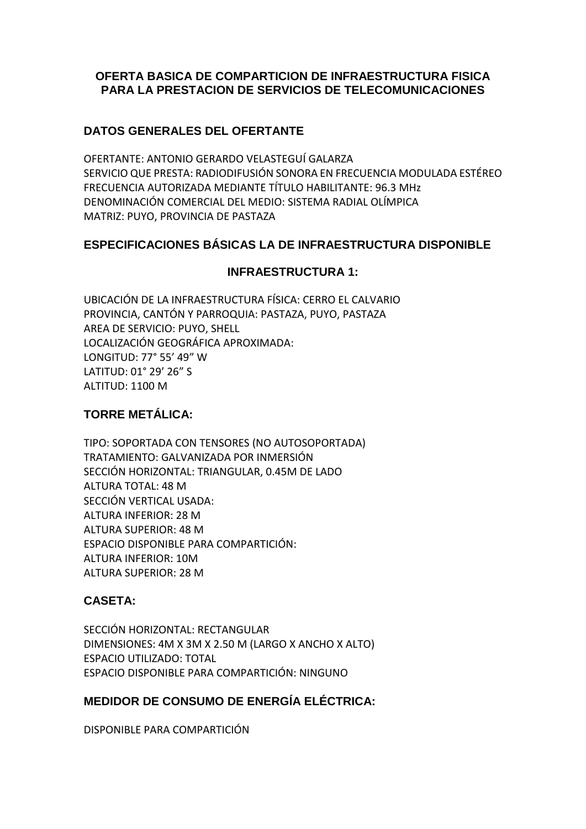# **OFERTA BASICA DE COMPARTICION DE INFRAESTRUCTURA FISICA PARA LA PRESTACION DE SERVICIOS DE TELECOMUNICACIONES**

### **DATOS GENERALES DEL OFERTANTE**

OFERTANTE: ANTONIO GERARDO VELASTEGUÍ GALARZA SERVICIO QUE PRESTA: RADIODIFUSIÓN SONORA EN FRECUENCIA MODULADA ESTÉREO FRECUENCIA AUTORIZADA MEDIANTE TÍTULO HABILITANTE: 96.3 MHz DENOMINACIÓN COMERCIAL DEL MEDIO: SISTEMA RADIAL OLÍMPICA MATRIZ: PUYO, PROVINCIA DE PASTAZA

#### **ESPECIFICACIONES BÁSICAS LA DE INFRAESTRUCTURA DISPONIBLE**

#### **INFRAESTRUCTURA 1:**

UBICACIÓN DE LA INFRAESTRUCTURA FÍSICA: CERRO EL CALVARIO PROVINCIA, CANTÓN Y PARROQUIA: PASTAZA, PUYO, PASTAZA AREA DE SERVICIO: PUYO, SHELL LOCALIZACIÓN GEOGRÁFICA APROXIMADA: LONGITUD: 77° 55' 49" W LATITUD: 01° 29' 26" S ALTITUD: 1100 M

# **TORRE METÁLICA:**

TIPO: SOPORTADA CON TENSORES (NO AUTOSOPORTADA) TRATAMIENTO: GALVANIZADA POR INMERSIÓN SECCIÓN HORIZONTAL: TRIANGULAR, 0.45M DE LADO ALTURA TOTAL: 48 M SECCIÓN VERTICAL USADA: ALTURA INFERIOR: 28 M ALTURA SUPERIOR: 48 M ESPACIO DISPONIBLE PARA COMPARTICIÓN: ALTURA INFERIOR: 10M ALTURA SUPERIOR: 28 M

# **CASETA:**

SECCIÓN HORIZONTAL: RECTANGULAR DIMENSIONES: 4M X 3M X 2.50 M (LARGO X ANCHO X ALTO) ESPACIO UTILIZADO: TOTAL ESPACIO DISPONIBLE PARA COMPARTICIÓN: NINGUNO

# **MEDIDOR DE CONSUMO DE ENERGÍA ELÉCTRICA:**

DISPONIBLE PARA COMPARTICIÓN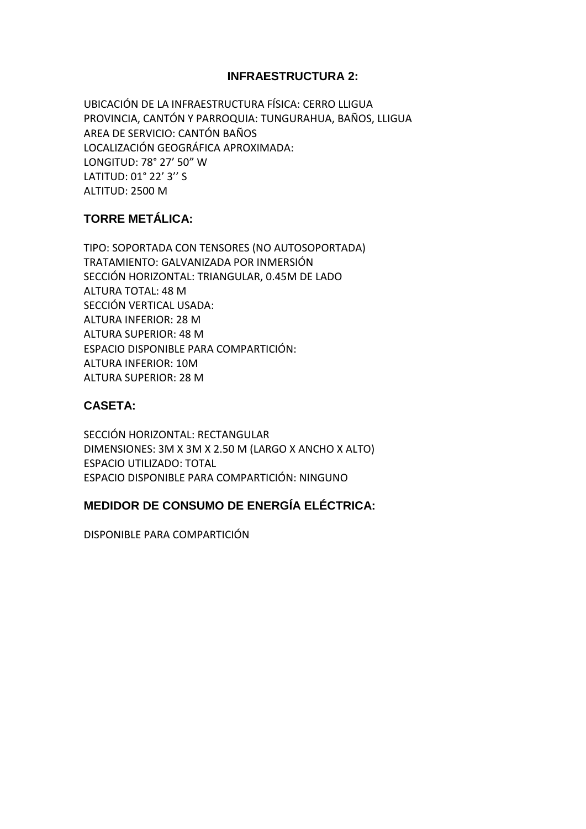#### **INFRAESTRUCTURA 2:**

UBICACIÓN DE LA INFRAESTRUCTURA FÍSICA: CERRO LLIGUA PROVINCIA, CANTÓN Y PARROQUIA: TUNGURAHUA, BAÑOS, LLIGUA AREA DE SERVICIO: CANTÓN BAÑOS LOCALIZACIÓN GEOGRÁFICA APROXIMADA: LONGITUD: 78° 27' 50" W LATITUD: 01° 22' 3'' S ALTITUD: 2500 M

# **TORRE METÁLICA:**

TIPO: SOPORTADA CON TENSORES (NO AUTOSOPORTADA) TRATAMIENTO: GALVANIZADA POR INMERSIÓN SECCIÓN HORIZONTAL: TRIANGULAR, 0.45M DE LADO ALTURA TOTAL: 48 M SECCIÓN VERTICAL USADA: ALTURA INFERIOR: 28 M ALTURA SUPERIOR: 48 M ESPACIO DISPONIBLE PARA COMPARTICIÓN: ALTURA INFERIOR: 10M ALTURA SUPERIOR: 28 M

# **CASETA:**

SECCIÓN HORIZONTAL: RECTANGULAR DIMENSIONES: 3M X 3M X 2.50 M (LARGO X ANCHO X ALTO) ESPACIO UTILIZADO: TOTAL ESPACIO DISPONIBLE PARA COMPARTICIÓN: NINGUNO

# **MEDIDOR DE CONSUMO DE ENERGÍA ELÉCTRICA:**

DISPONIBLE PARA COMPARTICIÓN